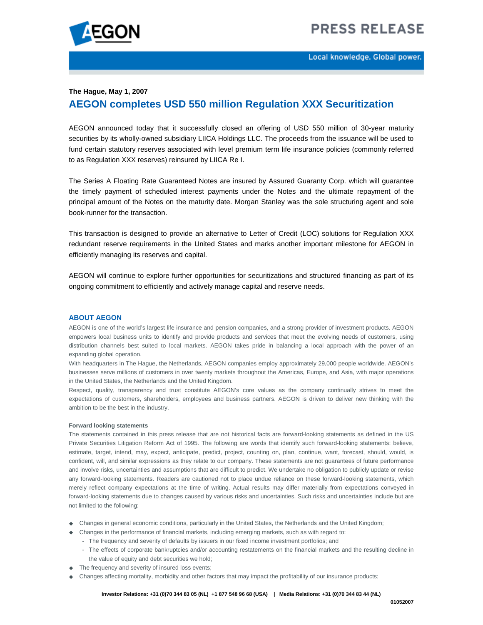# **PRESS RELEASE**



Local knowledge. Global power.

#### **The Hague, May 1, 2007**

## **AEGON completes USD 550 million Regulation XXX Securitization**

AEGON announced today that it successfully closed an offering of USD 550 million of 30-year maturity securities by its wholly-owned subsidiary LIICA Holdings LLC. The proceeds from the issuance will be used to fund certain statutory reserves associated with level premium term life insurance policies (commonly referred to as Regulation XXX reserves) reinsured by LIICA Re I.

The Series A Floating Rate Guaranteed Notes are insured by Assured Guaranty Corp. which will guarantee the timely payment of scheduled interest payments under the Notes and the ultimate repayment of the principal amount of the Notes on the maturity date. Morgan Stanley was the sole structuring agent and sole book-runner for the transaction.

This transaction is designed to provide an alternative to Letter of Credit (LOC) solutions for Regulation XXX redundant reserve requirements in the United States and marks another important milestone for AEGON in efficiently managing its reserves and capital.

AEGON will continue to explore further opportunities for securitizations and structured financing as part of its ongoing commitment to efficiently and actively manage capital and reserve needs.

#### **ABOUT AEGON**

AEGON is one of the world's largest life insurance and pension companies, and a strong provider of investment products. AEGON empowers local business units to identify and provide products and services that meet the evolving needs of customers, using distribution channels best suited to local markets. AEGON takes pride in balancing a local approach with the power of an expanding global operation.

With headquarters in The Hague, the Netherlands, AEGON companies employ approximately 29,000 people worldwide. AEGON's businesses serve millions of customers in over twenty markets throughout the Americas, Europe, and Asia, with major operations in the United States, the Netherlands and the United Kingdom.

Respect, quality, transparency and trust constitute AEGON's core values as the company continually strives to meet the expectations of customers, shareholders, employees and business partners. AEGON is driven to deliver new thinking with the ambition to be the best in the industry.

#### **Forward looking statements**

The statements contained in this press release that are not historical facts are forward-looking statements as defined in the US Private Securities Litigation Reform Act of 1995. The following are words that identify such forward-looking statements: believe, estimate, target, intend, may, expect, anticipate, predict, project, counting on, plan, continue, want, forecast, should, would, is confident, will, and similar expressions as they relate to our company. These statements are not guarantees of future performance and involve risks, uncertainties and assumptions that are difficult to predict. We undertake no obligation to publicly update or revise any forward-looking statements. Readers are cautioned not to place undue reliance on these forward-looking statements, which merely reflect company expectations at the time of writing. Actual results may differ materially from expectations conveyed in forward-looking statements due to changes caused by various risks and uncertainties. Such risks and uncertainties include but are not limited to the following:

- Changes in general economic conditions, particularly in the United States, the Netherlands and the United Kingdom;
- Changes in the performance of financial markets, including emerging markets, such as with regard to:
	- The frequency and severity of defaults by issuers in our fixed income investment portfolios; and
		- The effects of corporate bankruptcies and/or accounting restatements on the financial markets and the resulting decline in the value of equity and debt securities we hold;
- $\blacklozenge$  The frequency and severity of insured loss events;
- Changes affecting mortality, morbidity and other factors that may impact the profitability of our insurance products;